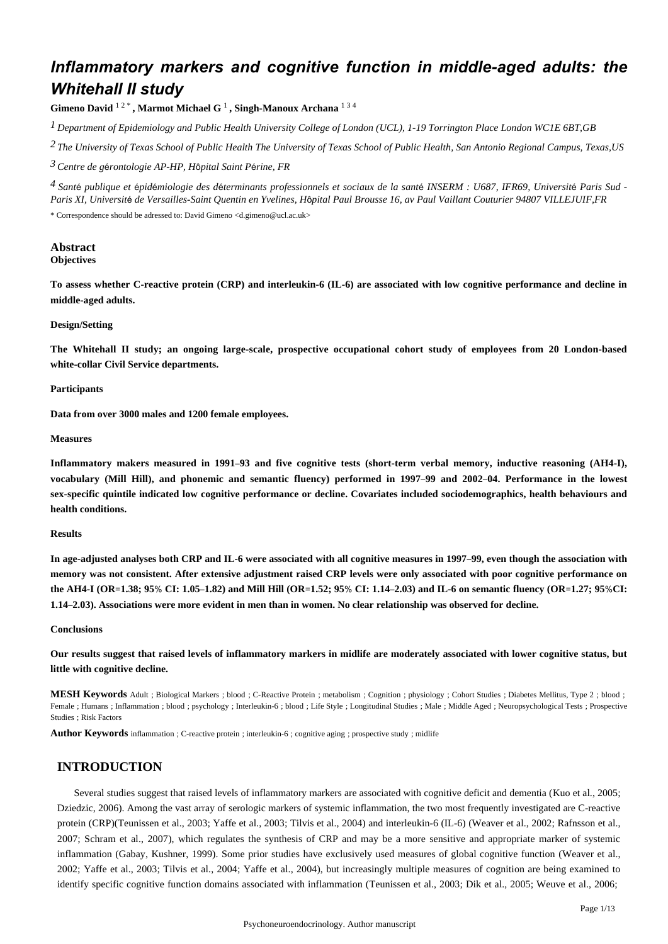# *Inflammatory markers and cognitive function in middle-aged adults: the Whitehall II study*

Gimeno David <sup>12\*</sup>, Marmot Michael G<sup>1</sup>, Singh-Manoux Archana<sup>134</sup>

*Department of Epidemiology and Public Health 1 University College of London (UCL), 1-19 Torrington Place London WC1E 6BT,GB*

*The University of Texas School of Public Health 2 The University of Texas School of Public Health, San Antonio Regional Campus, Texas,US*

<sup>3</sup> Centre de gérontologie AP-HP, Hôpital Saint Périne, FR

<sup>4</sup> Santé publique et épidémiologie des déterminants professionnels et sociaux de la santé INSERM : U687, IFR69, Université Paris Sud -Paris XI, Université de Versailles-Saint Quentin en Yvelines, Hôpital Paul Brousse 16, av Paul Vaillant Couturier 94807 VILLEJUIF,FR \* Correspondence should be adressed to: David Gimeno <d.gimeno@ucl.ac.uk>

### **Abstract Objectives**

**To assess whether C-reactive protein (CRP) and interleukin-6 (IL-6) are associated with low cognitive performance and decline in middle-aged adults.**

### **Design/Setting**

**The Whitehall II study; an ongoing large-scale, prospective occupational cohort study of employees from 20 London-based white-collar Civil Service departments.**

### **Participants**

**Data from over 3000 males and 1200 female employees.**

### **Measures**

Inflammatory makers measured in 1991-93 and five cognitive tests (short-term verbal memory, inductive reasoning (AH4-I), vocabulary (Mill Hill), and phonemic and semantic fluency) performed in 1997-99 and 2002-04. Performance in the lowest **sex-specific quintile indicated low cognitive performance or decline. Covariates included sociodemographics, health behaviours and health conditions.**

### **Results**

In age-adjusted analyses both CRP and IL-6 were associated with all cognitive measures in 1997–99, even though the association with **memory was not consistent. After extensive adjustment raised CRP levels were only associated with poor cognitive performance on** the AH4-I (OR=1.38; 95% CI: 1.05-1.82) and Mill Hill (OR=1.52; 95% CI: 1.14-2.03) and IL-6 on semantic fluency (OR=1.27; 95%CI: **1.14 2.03). Associations were more evident in men than in women. No clear relationship was observed for decline.** –

### **Conclusions**

**Our results suggest that raised levels of inflammatory markers in midlife are moderately associated with lower cognitive status, but little with cognitive decline.**

**MESH Keywords** Adult ; Biological Markers ; blood ; C-Reactive Protein ; metabolism ; Cognition ; physiology ; Cohort Studies ; Diabetes Mellitus, Type 2 ; blood ; Female ; Humans ; Inflammation ; blood ; psychology ; Interleukin-6 ; blood ; Life Style ; Longitudinal Studies ; Male ; Middle Aged ; Neuropsychological Tests ; Prospective Studies ; Risk Factors

**Author Keywords** inflammation ; C-reactive protein ; interleukin-6 ; cognitive aging ; prospective study ; midlife

# **INTRODUCTION**

Several studies suggest that raised levels of inflammatory markers are associated with cognitive deficit and dementia (Kuo et al., 2005; Dziedzic, 2006). Among the vast array of serologic markers of systemic inflammation, the two most frequently investigated are C-reactive protein (CRP)(Teunissen et al., 2003; Yaffe et al., 2003; Tilvis et al., 2004) and interleukin-6 (IL-6) (Weaver et al., 2002; Rafnsson et al., 2007; Schram et al., 2007), which regulates the synthesis of CRP and may be a more sensitive and appropriate marker of systemic inflammation (Gabay, Kushner, 1999). Some prior studies have exclusively used measures of global cognitive function (Weaver et al., 2002; Yaffe et al., 2003; Tilvis et al., 2004; Yaffe et al., 2004), but increasingly multiple measures of cognition are being examined to identify specific cognitive function domains associated with inflammation (Teunissen et al., 2003; Dik et al., 2005; Weuve et al., 2006;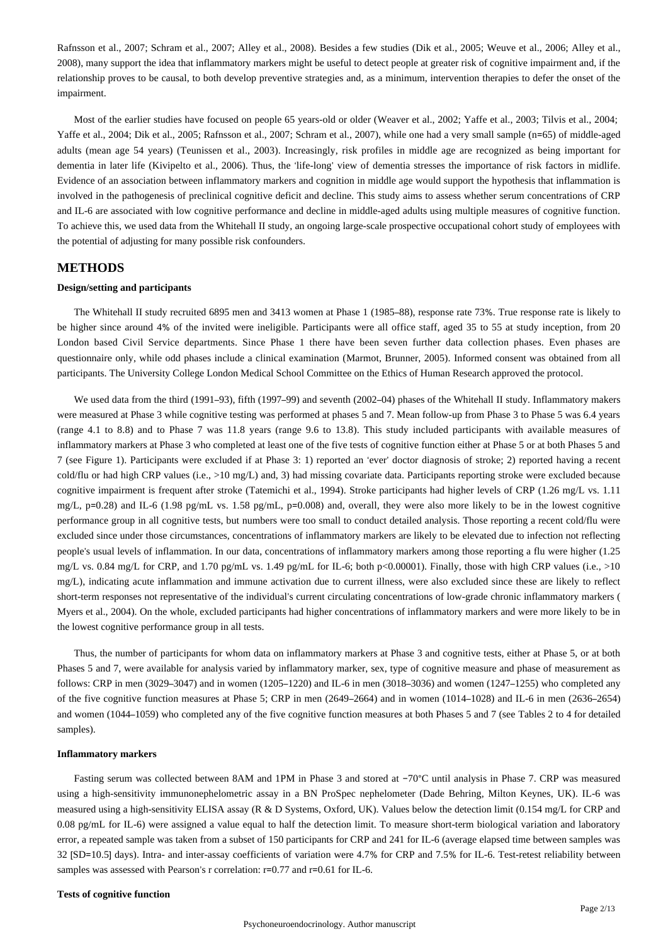Rafnsson et al., 2007; Schram et al., 2007; Alley et al., 2008). Besides a few studies (Dik et al., 2005; Weuve et al., 2006; Alley et al., 2008), many support the idea that inflammatory markers might be useful to detect people at greater risk of cognitive impairment and, if the relationship proves to be causal, to both develop preventive strategies and, as a minimum, intervention therapies to defer the onset of the impairment.

Most of the earlier studies have focused on people 65 years-old or older (Weaver et al., 2002; Yaffe et al., 2003; Tilvis et al., 2004; Yaffe et al., 2004; Dik et al., 2005; Rafnsson et al., 2007; Schram et al., 2007), while one had a very small sample (n=65) of middle-aged adults (mean age 54 years) (Teunissen et al., 2003). Increasingly, risk profiles in middle age are recognized as being important for dementia in later life (Kivipelto et al., 2006). Thus, the 'life-long' view of dementia stresses the importance of risk factors in midlife. Evidence of an association between inflammatory markers and cognition in middle age would support the hypothesis that inflammation is involved in the pathogenesis of preclinical cognitive deficit and decline. This study aims to assess whether serum concentrations of CRP and IL-6 are associated with low cognitive performance and decline in middle-aged adults using multiple measures of cognitive function. To achieve this, we used data from the Whitehall II study, an ongoing large-scale prospective occupational cohort study of employees with the potential of adjusting for many possible risk confounders.

### **METHODS**

### **Design/setting and participants**

The Whitehall II study recruited 6895 men and 3413 women at Phase 1 (1985–88), response rate 73%. True response rate is likely to be higher since around 4% of the invited were ineligible. Participants were all office staff, aged 35 to 55 at study inception, from 20 London based Civil Service departments. Since Phase 1 there have been seven further data collection phases. Even phases are questionnaire only, while odd phases include a clinical examination (Marmot, Brunner, 2005). Informed consent was obtained from all participants. The University College London Medical School Committee on the Ethics of Human Research approved the protocol.

We used data from the third (1991-93), fifth (1997-99) and seventh (2002-04) phases of the Whitehall II study. Inflammatory makers were measured at Phase 3 while cognitive testing was performed at phases 5 and 7. Mean follow-up from Phase 3 to Phase 5 was 6.4 years (range 4.1 to 8.8) and to Phase 7 was 11.8 years (range 9.6 to 13.8). This study included participants with available measures of inflammatory markers at Phase 3 who completed at least one of the five tests of cognitive function either at Phase 5 or at both Phases 5 and 7 (see Figure 1). Participants were excluded if at Phase 3: 1) reported an 'ever' doctor diagnosis of stroke; 2) reported having a recent cold/flu or had high CRP values (i.e.,  $>10 \text{ mg/L}$ ) and, 3) had missing covariate data. Participants reporting stroke were excluded because cognitive impairment is frequent after stroke (Tatemichi et al., 1994). Stroke participants had higher levels of CRP (1.26 mg/L vs. 1.11) mg/L, p=0.28) and IL-6 (1.98 pg/mL vs. 1.58 pg/mL, p=0.008) and, overall, they were also more likely to be in the lowest cognitive performance group in all cognitive tests, but numbers were too small to conduct detailed analysis. Those reporting a recent cold/flu were excluded since under those circumstances, concentrations of inflammatory markers are likely to be elevated due to infection not reflecting people's usual levels of inflammation. In our data, concentrations of inflammatory markers among those reporting a flu were higher (1.25 mg/L vs. 0.84 mg/L for CRP, and 1.70 pg/mL vs. 1.49 pg/mL for IL-6; both p<0.00001). Finally, those with high CRP values (i.e., >10 mg/L), indicating acute inflammation and immune activation due to current illness, were also excluded since these are likely to reflect short-term responses not representative of the individual's current circulating concentrations of low-grade chronic inflammatory markers ( Myers et al., 2004). On the whole, excluded participants had higher concentrations of inflammatory markers and were more likely to be in the lowest cognitive performance group in all tests.

Thus, the number of participants for whom data on inflammatory markers at Phase 3 and cognitive tests, either at Phase 5, or at both Phases 5 and 7, were available for analysis varied by inflammatory marker, sex, type of cognitive measure and phase of measurement as follows: CRP in men  $(3029-3047)$  and in women  $(1205-1220)$  and IL-6 in men  $(3018-3036)$  and women  $(1247-1255)$  who completed any of the five cognitive function measures at Phase 5; CRP in men  $(2649-2664)$  and in women  $(1014-1028)$  and IL-6 in men  $(2636-2654)$ and women (1044–1059) who completed any of the five cognitive function measures at both Phases 5 and 7 (see Tables 2 to 4 for detailed samples).

#### **Inflammatory markers**

Fasting serum was collected between 8AM and 1PM in Phase 3 and stored at -70 °C until analysis in Phase 7. CRP was measured using a high-sensitivity immunonephelometric assay in a BN ProSpec nephelometer (Dade Behring, Milton Keynes, UK). IL-6 was measured using a high-sensitivity ELISA assay (R & D Systems, Oxford, UK). Values below the detection limit (0.154 mg/L for CRP and 0.08 pg/mL for IL-6) were assigned a value equal to half the detection limit. To measure short-term biological variation and laboratory error, a repeated sample was taken from a subset of 150 participants for CRP and 241 for IL-6 (average elapsed time between samples was 32 [SD=10.5] days). Intra- and inter-assay coefficients of variation were 4.7% for CRP and 7.5% for IL-6. Test-retest reliability between samples was assessed with Pearson's r correlation:  $r = 0.77$  and  $r = 0.61$  for IL-6.

#### **Tests of cognitive function**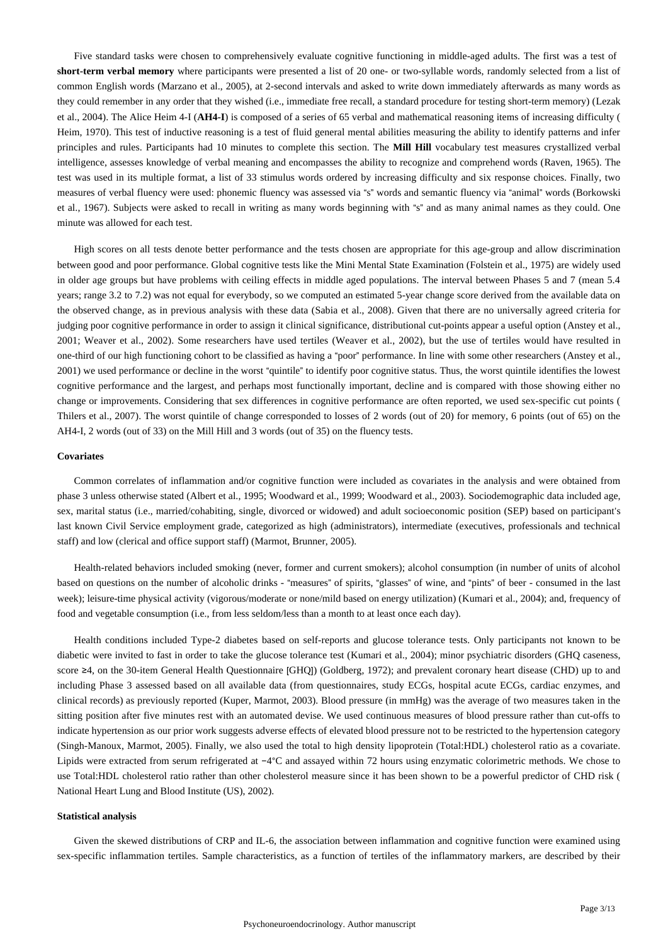Five standard tasks were chosen to comprehensively evaluate cognitive functioning in middle-aged adults. The first was a test of **short-term verbal memory** where participants were presented a list of 20 one- or two-syllable words, randomly selected from a list of common English words (Marzano et al., 2005), at 2-second intervals and asked to write down immediately afterwards as many words as they could remember in any order that they wished (i.e., immediate free recall, a standard procedure for testing short-term memory) (Lezak et al., 2004). The Alice Heim 4-I (AH4-I) is composed of a series of 65 verbal and mathematical reasoning items of increasing difficulty ( Heim, 1970). This test of inductive reasoning is a test of fluid general mental abilities measuring the ability to identify patterns and infer principles and rules. Participants had 10 minutes to complete this section. The Mill Hill vocabulary test measures crystallized verbal intelligence, assesses knowledge of verbal meaning and encompasses the ability to recognize and comprehend words (Raven, 1965). The test was used in its multiple format, a list of 33 stimulus words ordered by increasing difficulty and six response choices. Finally, two measures of verbal fluency were used: phonemic fluency was assessed via "s" words and semantic fluency via "animal" words (Borkowski et al., 1967). Subjects were asked to recall in writing as many words beginning with "s" and as many animal names as they could. One minute was allowed for each test.

High scores on all tests denote better performance and the tests chosen are appropriate for this age-group and allow discrimination between good and poor performance. Global cognitive tests like the Mini Mental State Examination (Folstein et al., 1975) are widely used in older age groups but have problems with ceiling effects in middle aged populations. The interval between Phases 5 and 7 (mean 5.4 years; range 3.2 to 7.2) was not equal for everybody, so we computed an estimated 5-year change score derived from the available data on the observed change, as in previous analysis with these data (Sabia et al., 2008). Given that there are no universally agreed criteria for judging poor cognitive performance in order to assign it clinical significance, distributional cut-points appear a useful option (Anstey et al., 2001; Weaver et al., 2002). Some researchers have used tertiles (Weaver et al., 2002), but the use of tertiles would have resulted in one-third of our high functioning cohort to be classified as having a "poor" performance. In line with some other researchers (Anstey et al., 2001) we used performance or decline in the worst "quintile" to identify poor cognitive status. Thus, the worst quintile identifies the lowest cognitive performance and the largest, and perhaps most functionally important, decline and is compared with those showing either no change or improvements. Considering that sex differences in cognitive performance are often reported, we used sex-specific cut points ( Thilers et al., 2007). The worst quintile of change corresponded to losses of 2 words (out of 20) for memory, 6 points (out of 65) on the AH4-I, 2 words (out of 33) on the Mill Hill and 3 words (out of 35) on the fluency tests.

#### **Covariates**

Common correlates of inflammation and/or cognitive function were included as covariates in the analysis and were obtained from phase 3 unless otherwise stated (Albert et al., 1995; Woodward et al., 1999; Woodward et al., 2003). Sociodemographic data included age, sex, marital status (i.e., married/cohabiting, single, divorced or widowed) and adult socioeconomic position (SEP) based on participant s' last known Civil Service employment grade, categorized as high (administrators), intermediate (executives, professionals and technical staff) and low (clerical and office support staff) (Marmot, Brunner, 2005).

Health-related behaviors included smoking (never, former and current smokers); alcohol consumption (in number of units of alcohol based on questions on the number of alcoholic drinks - "measures" of spirits, "glasses" of wine, and "pints" of beer - consumed in the last week); leisure-time physical activity (vigorous/moderate or none/mild based on energy utilization) (Kumari et al., 2004); and, frequency of food and vegetable consumption (i.e., from less seldom/less than a month to at least once each day).

Health conditions included Type-2 diabetes based on self-reports and glucose tolerance tests. Only participants not known to be diabetic were invited to fast in order to take the glucose tolerance test (Kumari et al., 2004); minor psychiatric disorders (GHQ caseness, score ≥4, on the 30-item General Health Questionnaire [GHQ]) (Goldberg, 1972); and prevalent coronary heart disease (CHD) up to and including Phase 3 assessed based on all available data (from questionnaires, study ECGs, hospital acute ECGs, cardiac enzymes, and clinical records) as previously reported (Kuper, Marmot, 2003). Blood pressure (in mmHg) was the average of two measures taken in the sitting position after five minutes rest with an automated devise. We used continuous measures of blood pressure rather than cut-offs to indicate hypertension as our prior work suggests adverse effects of elevated blood pressure not to be restricted to the hypertension category (Singh-Manoux, Marmot, 2005). Finally, we also used the total to high density lipoprotein (Total:HDL) cholesterol ratio as a covariate. Lipids were extracted from serum refrigerated at -4 °C and assayed within 72 hours using enzymatic colorimetric methods. We chose to use Total:HDL cholesterol ratio rather than other cholesterol measure since it has been shown to be a powerful predictor of CHD risk ( National Heart Lung and Blood Institute (US), 2002).

#### **Statistical analysis**

Given the skewed distributions of CRP and IL-6, the association between inflammation and cognitive function were examined using sex-specific inflammation tertiles. Sample characteristics, as a function of tertiles of the inflammatory markers, are described by their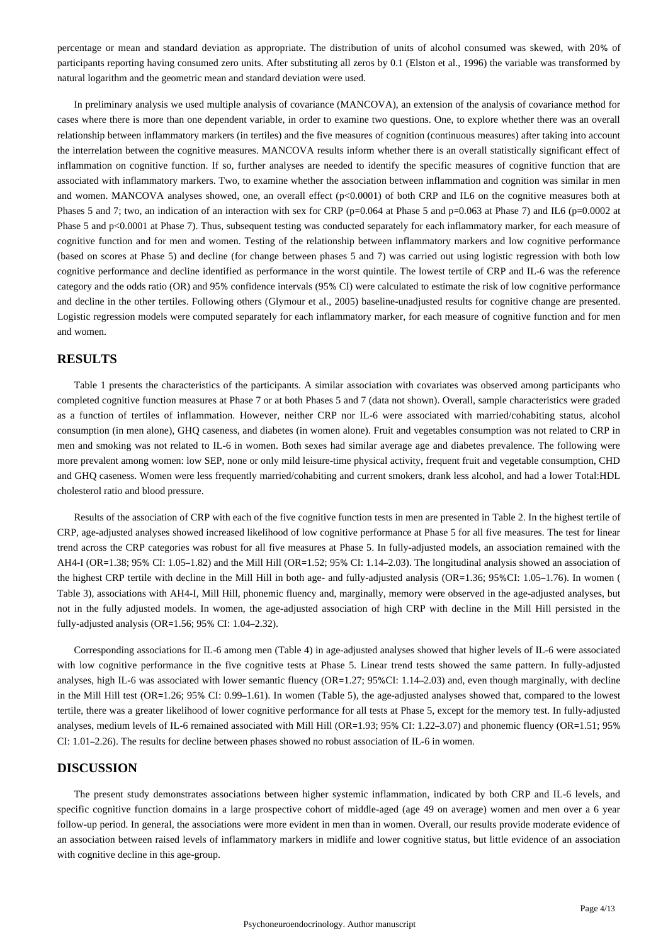percentage or mean and standard deviation as appropriate. The distribution of units of alcohol consumed was skewed, with 20% of participants reporting having consumed zero units. After substituting all zeros by 0.1 (Elston et al., 1996) the variable was transformed by natural logarithm and the geometric mean and standard deviation were used.

In preliminary analysis we used multiple analysis of covariance (MANCOVA), an extension of the analysis of covariance method for cases where there is more than one dependent variable, in order to examine two questions. One, to explore whether there was an overall relationship between inflammatory markers (in tertiles) and the five measures of cognition (continuous measures) after taking into account the interrelation between the cognitive measures. MANCOVA results inform whether there is an overall statistically significant effect of inflammation on cognitive function. If so, further analyses are needed to identify the specific measures of cognitive function that are associated with inflammatory markers. Two, to examine whether the association between inflammation and cognition was similar in men and women. MANCOVA analyses showed, one, an overall effect (p<0.0001) of both CRP and IL6 on the cognitive measures both at Phases 5 and 7; two, an indication of an interaction with sex for CRP (p=0.064 at Phase 5 and p=0.063 at Phase 7) and IL6 (p=0.0002 at Phase 5 and p<0.0001 at Phase 7). Thus, subsequent testing was conducted separately for each inflammatory marker, for each measure of cognitive function and for men and women. Testing of the relationship between inflammatory markers and low cognitive performance (based on scores at Phase 5) and decline (for change between phases 5 and 7) was carried out using logistic regression with both low cognitive performance and decline identified as performance in the worst quintile. The lowest tertile of CRP and IL-6 was the reference category and the odds ratio (OR) and 95% confidence intervals (95% CI) were calculated to estimate the risk of low cognitive performance and decline in the other tertiles. Following others (Glymour et al., 2005) baseline-unadjusted results for cognitive change are presented. Logistic regression models were computed separately for each inflammatory marker, for each measure of cognitive function and for men and women.

### **RESULTS**

Table 1 presents the characteristics of the participants. A similar association with covariates was observed among participants who completed cognitive function measures at Phase 7 or at both Phases 5 and 7 (data not shown). Overall, sample characteristics were graded as a function of tertiles of inflammation. However, neither CRP nor IL-6 were associated with married/cohabiting status, alcohol consumption (in men alone), GHQ caseness, and diabetes (in women alone). Fruit and vegetables consumption was not related to CRP in men and smoking was not related to IL-6 in women. Both sexes had similar average age and diabetes prevalence. The following were more prevalent among women: low SEP, none or only mild leisure-time physical activity, frequent fruit and vegetable consumption, CHD and GHQ caseness. Women were less frequently married/cohabiting and current smokers, drank less alcohol, and had a lower Total:HDL cholesterol ratio and blood pressure.

Results of the association of CRP with each of the five cognitive function tests in men are presented in Table 2. In the highest tertile of CRP, age-adjusted analyses showed increased likelihood of low cognitive performance at Phase 5 for all five measures. The test for linear trend across the CRP categories was robust for all five measures at Phase 5. In fully-adjusted models, an association remained with the AH4-I (OR=1.38; 95% CI: 1.05–1.82) and the Mill Hill (OR=1.52; 95% CI: 1.14–2.03). The longitudinal analysis showed an association of the highest CRP tertile with decline in the Mill Hill in both age- and fully-adjusted analysis (OR= $1.36$ ;  $95\%$ CI:  $1.05-1.76$ ). In women ( Table 3), associations with AH4-I, Mill Hill, phonemic fluency and, marginally, memory were observed in the age-adjusted analyses, but not in the fully adjusted models. In women, the age-adjusted association of high CRP with decline in the Mill Hill persisted in the fully-adjusted analysis (OR= $1.56$ ; 95% CI:  $1.04 - 2.32$ ).

Corresponding associations for IL-6 among men (Table 4) in age-adjusted analyses showed that higher levels of IL-6 were associated with low cognitive performance in the five cognitive tests at Phase 5. Linear trend tests showed the same pattern. In fully-adjusted analyses, high IL-6 was associated with lower semantic fluency ( $OR=1.27$ ; 95%CI: 1.14–2.03) and, even though marginally, with decline in the Mill Hill test  $(OR=1.26; 95\% \text{ CI}; 0.99-1.61)$ . In women (Table 5), the age-adjusted analyses showed that, compared to the lowest tertile, there was a greater likelihood of lower cognitive performance for all tests at Phase 5, except for the memory test. In fully-adjusted analyses, medium levels of IL-6 remained associated with Mill Hill (OR=1.93; 95% CI: 1.22–3.07) and phonemic fluency (OR=1.51; 95%) CI: 1.01-2.26). The results for decline between phases showed no robust association of IL-6 in women.

### **DISCUSSION**

The present study demonstrates associations between higher systemic inflammation, indicated by both CRP and IL-6 levels, and specific cognitive function domains in a large prospective cohort of middle-aged (age 49 on average) women and men over a 6 year follow-up period. In general, the associations were more evident in men than in women. Overall, our results provide moderate evidence of an association between raised levels of inflammatory markers in midlife and lower cognitive status, but little evidence of an association with cognitive decline in this age-group.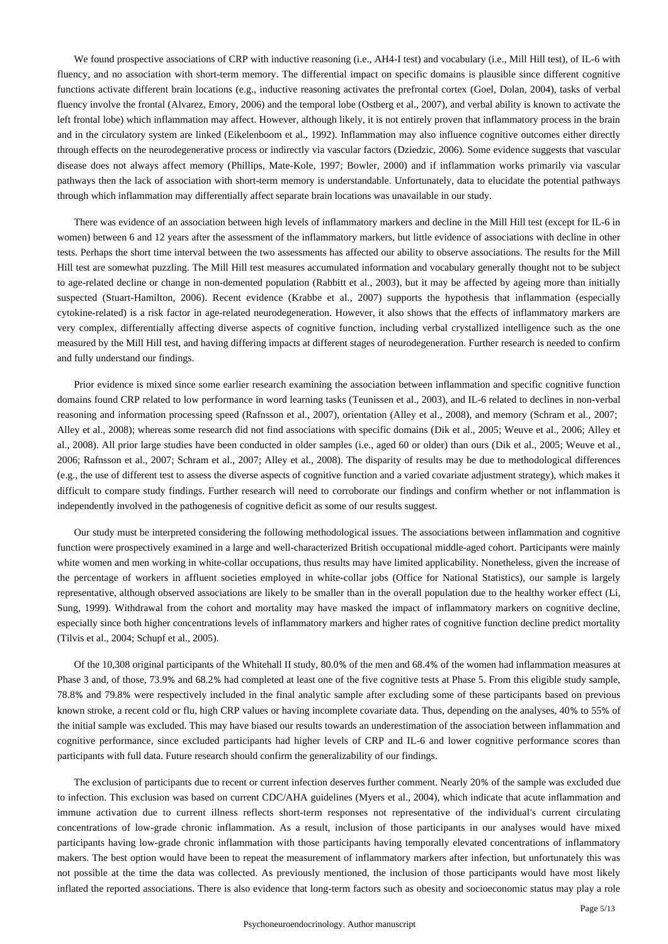We found prospective associations of CRP with inductive reasoning (i.e., AH4-I test) and vocabulary (i.e., Mill Hill test), of IL-6 with fluency, and no association with short-term memory. The differential impact on specific domains is plausible since different cognitive functions activate different brain locations (e.g., inductive reasoning activates the prefrontal cortex (Goel, Dolan, 2004), tasks of verbal fluency involve the frontal (Alvarez, Emory, 2006) and the temporal lobe (Ostberg et al., 2007), and verbal ability is known to activate the left frontal lobe) which inflammation may affect. However, although likely, it is not entirely proven that inflammatory process in the brain and in the circulatory system are linked (Eikelenboom et al., 1992). Inflammation may also influence cognitive outcomes either directly through effects on the neurodegenerative process or indirectly via vascular factors (Dziedzic, 2006). Some evidence suggests that vascular disease does not always affect memory (Phillips, Mate-Kole, 1997; Bowler, 2000) and if inflammation works primarily via vascular pathways then the lack of association with short-term memory is understandable. Unfortunately, data to elucidate the potential pathways through which inflammation may differentially affect separate brain locations was unavailable in our study.

There was evidence of an association between high levels of inflammatory markers and decline in the Mill Hill test (except for IL-6 in women) between 6 and 12 years after the assessment of the inflammatory markers, but little evidence of associations with decline in other tests. Perhaps the short time interval between the two assessments has affected our ability to observe associations. The results for the Mill Hill test are somewhat puzzling. The Mill Hill test measures accumulated information and vocabulary generally thought not to be subject to age-related decline or change in non-demented population (Rabbitt et al., 2003), but it may be affected by ageing more than initially suspected (Stuart-Hamilton, 2006). Recent evidence (Krabbe et al., 2007) supports the hypothesis that inflammation (especially cytokine-related) is a risk factor in age-related neurodegeneration. However, it also shows that the effects of inflammatory markers are very complex, differentially affecting diverse aspects of cognitive function, including verbal crystallized intelligence such as the one measured by the Mill Hill test, and having differing impacts at different stages of neurodegeneration. Further research is needed to confirm and fully understand our findings.

Prior evidence is mixed since some earlier research examining the association between inflammation and specific cognitive function domains found CRP related to low performance in word learning tasks (Teunissen et al., 2003), and IL-6 related to declines in non-verbal reasoning and information processing speed (Rafnsson et al., 2007), orientation (Alley et al., 2008), and memory (Schram et al., 2007; Alley et al., 2008); whereas some research did not find associations with specific domains (Dik et al., 2005; Weuve et al., 2006; Alley et al., 2008). All prior large studies have been conducted in older samples (i.e., aged 60 or older) than ours (Dik et al., 2005; Weuve et al., 2006; Rafnsson et al., 2007; Schram et al., 2007; Alley et al., 2008). The disparity of results may be due to methodological differences (e.g., the use of different test to assess the diverse aspects of cognitive function and a varied covariate adjustment strategy), which makes it difficult to compare study findings. Further research will need to corroborate our findings and confirm whether or not inflammation is independently involved in the pathogenesis of cognitive deficit as some of our results suggest.

Our study must be interpreted considering the following methodological issues. The associations between inflammation and cognitive function were prospectively examined in a large and well-characterized British occupational middle-aged cohort. Participants were mainly white women and men working in white-collar occupations, thus results may have limited applicability. Nonetheless, given the increase of the percentage of workers in affluent societies employed in white-collar jobs (Office for National Statistics), our sample is largely representative, although observed associations are likely to be smaller than in the overall population due to the healthy worker effect (Li, Sung, 1999). Withdrawal from the cohort and mortality may have masked the impact of inflammatory markers on cognitive decline, especially since both higher concentrations levels of inflammatory markers and higher rates of cognitive function decline predict mortality (Tilvis et al., 2004; Schupf et al., 2005).

Of the 10,308 original participants of the Whitehall II study, 80.0% of the men and 68.4% of the women had inflammation measures at Phase 3 and, of those, 73.9% and 68.2% had completed at least one of the five cognitive tests at Phase 5. From this eligible study sample, 78.8% and 79.8% were respectively included in the final analytic sample after excluding some of these participants based on previous known stroke, a recent cold or flu, high CRP values or having incomplete covariate data. Thus, depending on the analyses, 40% to 55% of the initial sample was excluded. This may have biased our results towards an underestimation of the association between inflammation and cognitive performance, since excluded participants had higher levels of CRP and IL-6 and lower cognitive performance scores than participants with full data. Future research should confirm the generalizability of our findings.

The exclusion of participants due to recent or current infection deserves further comment. Nearly 20% of the sample was excluded due to infection. This exclusion was based on current CDC/AHA guidelines (Myers et al., 2004), which indicate that acute inflammation and immune activation due to current illness reflects short-term responses not representative of the individual's current circulating concentrations of low-grade chronic inflammation. As a result, inclusion of those participants in our analyses would have mixed participants having low-grade chronic inflammation with those participants having temporally elevated concentrations of inflammatory makers. The best option would have been to repeat the measurement of inflammatory markers after infection, but unfortunately this was not possible at the time the data was collected. As previously mentioned, the inclusion of those participants would have most likely inflated the reported associations. There is also evidence that long-term factors such as obesity and socioeconomic status may play a role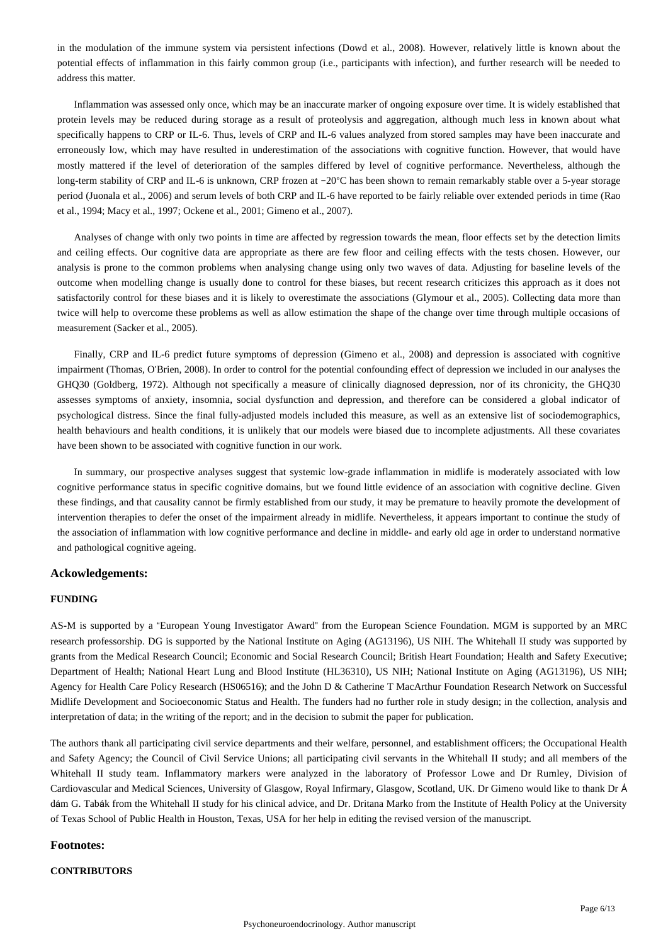in the modulation of the immune system via persistent infections (Dowd et al., 2008). However, relatively little is known about the potential effects of inflammation in this fairly common group (i.e., participants with infection), and further research will be needed to address this matter.

Inflammation was assessed only once, which may be an inaccurate marker of ongoing exposure over time. It is widely established that protein levels may be reduced during storage as a result of proteolysis and aggregation, although much less in known about what specifically happens to CRP or IL-6. Thus, levels of CRP and IL-6 values analyzed from stored samples may have been inaccurate and erroneously low, which may have resulted in underestimation of the associations with cognitive function. However, that would have mostly mattered if the level of deterioration of the samples differed by level of cognitive performance. Nevertheless, although the long-term stability of CRP and IL-6 is unknown, CRP frozen at -20°C has been shown to remain remarkably stable over a 5-year storage period (Juonala et al., 2006) and serum levels of both CRP and IL-6 have reported to be fairly reliable over extended periods in time (Rao et al., 1994; Macy et al., 1997; Ockene et al., 2001; Gimeno et al., 2007).

Analyses of change with only two points in time are affected by regression towards the mean, floor effects set by the detection limits and ceiling effects. Our cognitive data are appropriate as there are few floor and ceiling effects with the tests chosen. However, our analysis is prone to the common problems when analysing change using only two waves of data. Adjusting for baseline levels of the outcome when modelling change is usually done to control for these biases, but recent research criticizes this approach as it does not satisfactorily control for these biases and it is likely to overestimate the associations (Glymour et al., 2005). Collecting data more than twice will help to overcome these problems as well as allow estimation the shape of the change over time through multiple occasions of measurement (Sacker et al., 2005).

Finally, CRP and IL-6 predict future symptoms of depression (Gimeno et al., 2008) and depression is associated with cognitive impairment (Thomas, O'Brien, 2008). In order to control for the potential confounding effect of depression we included in our analyses the GHQ30 (Goldberg, 1972). Although not specifically a measure of clinically diagnosed depression, nor of its chronicity, the GHQ30 assesses symptoms of anxiety, insomnia, social dysfunction and depression, and therefore can be considered a global indicator of psychological distress. Since the final fully-adjusted models included this measure, as well as an extensive list of sociodemographics, health behaviours and health conditions, it is unlikely that our models were biased due to incomplete adjustments. All these covariates have been shown to be associated with cognitive function in our work.

In summary, our prospective analyses suggest that systemic low-grade inflammation in midlife is moderately associated with low cognitive performance status in specific cognitive domains, but we found little evidence of an association with cognitive decline. Given these findings, and that causality cannot be firmly established from our study, it may be premature to heavily promote the development of intervention therapies to defer the onset of the impairment already in midlife. Nevertheless, it appears important to continue the study of the association of inflammation with low cognitive performance and decline in middle- and early old age in order to understand normative and pathological cognitive ageing.

### **Ackowledgements:**

### **FUNDING**

AS-M is supported by a "European Young Investigator Award" from the European Science Foundation. MGM is supported by an MRC research professorship. DG is supported by the National Institute on Aging (AG13196), US NIH. The Whitehall II study was supported by grants from the Medical Research Council; Economic and Social Research Council; British Heart Foundation; Health and Safety Executive; Department of Health; National Heart Lung and Blood Institute (HL36310), US NIH; National Institute on Aging (AG13196), US NIH; Agency for Health Care Policy Research (HS06516); and the John D & Catherine T MacArthur Foundation Research Network on Successful Midlife Development and Socioeconomic Status and Health. The funders had no further role in study design; in the collection, analysis and interpretation of data; in the writing of the report; and in the decision to submit the paper for publication.

The authors thank all participating civil service departments and their welfare, personnel, and establishment officers; the Occupational Health and Safety Agency; the Council of Civil Service Unions; all participating civil servants in the Whitehall II study; and all members of the Whitehall II study team. Inflammatory markers were analyzed in the laboratory of Professor Lowe and Dr Rumley, Division of Cardiovascular and Medical Sciences, University of Glasgow, Royal Infirmary, Glasgow, Scotland, UK. Dr Gimeno would like to thank Dr Á dám G. Tabák from the Whitehall II study for his clinical advice, and Dr. Dritana Marko from the Institute of Health Policy at the University of Texas School of Public Health in Houston, Texas, USA for her help in editing the revised version of the manuscript.

### **Footnotes:**

### **CONTRIBUTORS**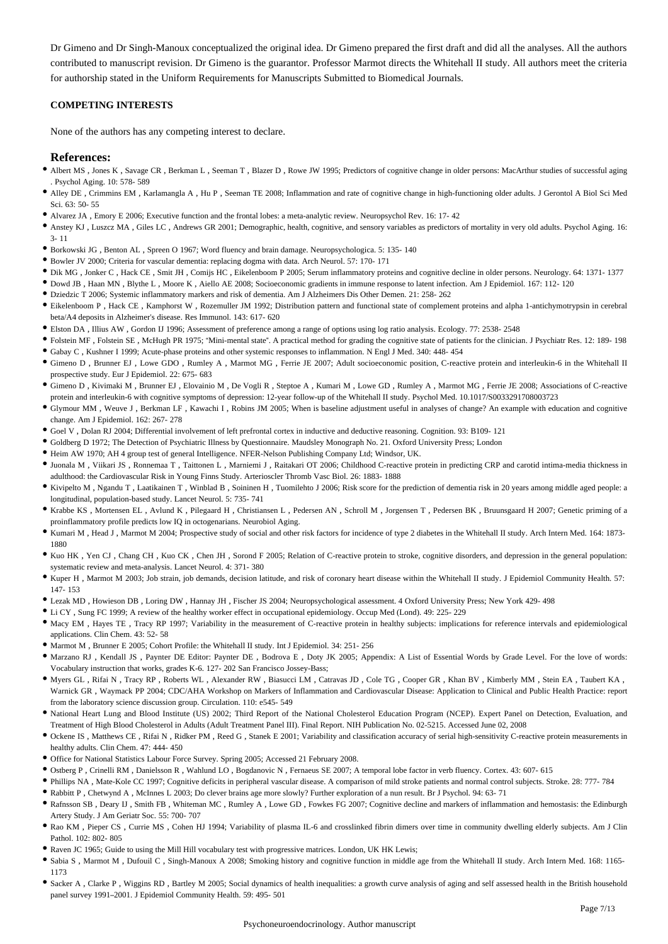Dr Gimeno and Dr Singh-Manoux conceptualized the original idea. Dr Gimeno prepared the first draft and did all the analyses. All the authors contributed to manuscript revision. Dr Gimeno is the guarantor. Professor Marmot directs the Whitehall II study. All authors meet the criteria for authorship stated in the Uniform Requirements for Manuscripts Submitted to Biomedical Journals.

### **COMPETING INTERESTS**

None of the authors has any competing interest to declare.

#### **References:**

- Albert MS, Jones K, Savage CR, Berkman L, Seeman T, Blazer D, Rowe JW 1995; Predictors of cognitive change in older persons: MacArthur studies of successful aging . Psychol Aging. 10: 578- 589
- Alley DE , Crimmins EM , Karlamangla A , Hu P , Seeman TE 2008; Inflammation and rate of cognitive change in high-functioning older adults. J Gerontol A Biol Sci Med Sci. 63: 50- 55
- Alvarez JA , Emory E 2006; Executive function and the frontal lobes: a meta-analytic review. Neuropsychol Rev. 16: 17- 42
- Anstey KJ , Luszcz MA , Giles LC , Andrews GR 2001; Demographic, health, cognitive, and sensory variables as predictors of mortality in very old adults. Psychol Aging. 16: 3- 11
- Borkowski JG , Benton AL , Spreen O 1967; Word fluency and brain damage. Neuropsychologica. 5: 135- 140
- Bowler JV 2000; Criteria for vascular dementia: replacing dogma with data. Arch Neurol. 57: 170- 171
- Dik MG , Jonker C , Hack CE , Smit JH , Comijs HC , Eikelenboom P 2005; Serum inflammatory proteins and cognitive decline in older persons. Neurology. 64: 1371- 1377
- Dowd JB , Haan MN , Blythe L , Moore K , Aiello AE 2008; Socioeconomic gradients in immune response to latent infection. Am J Epidemiol. 167: 112- 120
- Dziedzic T 2006; Systemic inflammatory markers and risk of dementia. Am J Alzheimers Dis Other Demen. 21: 258- 262
- Eikelenboom P , Hack CE , Kamphorst W , Rozemuller JM 1992; Distribution pattern and functional state of complement proteins and alpha 1-antichymotrypsin in cerebral beta/A4 deposits in Alzheimer's disease. Res Immunol. 143: 617- 620
- Elston DA , Illius AW , Gordon IJ 1996; Assessment of preference among a range of options using log ratio analysis. Ecology. 77: 2538- 2548
- Folstein MF, Folstein SE, McHugh PR 1975; "Mini-mental state". A practical method for grading the cognitive state of patients for the clinician. J Psychiatr Res. 12: 189- 198 Gabay C , Kushner I 1999; Acute-phase proteins and other systemic responses to inflammation. N Engl J Med. 340: 448- 454
- Gimeno D , Brunner EJ , Lowe GDO , Rumley A , Marmot MG , Ferrie JE 2007; Adult socioeconomic position, C-reactive protein and interleukin-6 in the Whitehall II prospective study. Eur J Epidemiol. 22: 675- 683
- Gimeno D , Kivimaki M , Brunner EJ , Elovainio M , De Vogli R , Steptoe A , Kumari M , Lowe GD , Rumley A , Marmot MG , Ferrie JE 2008; Associations of C-reactive protein and interleukin-6 with cognitive symptoms of depression: 12-year follow-up of the Whitehall II study. Psychol Med. 10.1017/S0033291708003723
- Glymour MM , Weuve J , Berkman LF , Kawachi I , Robins JM 2005; When is baseline adjustment useful in analyses of change? An example with education and cognitive change. Am J Epidemiol. 162: 267- 278
- Goel V , Dolan RJ 2004; Differential involvement of left prefrontal cortex in inductive and deductive reasoning. Cognition. 93: B109- 121
- Goldberg D 1972; The Detection of Psychiatric Illness by Questionnaire. Maudsley Monograph No. 21. Oxford University Press; London
- Heim AW 1970; AH 4 group test of general Intelligence. NFER-Nelson Publishing Company Ltd; Windsor, UK.
- Juonala M , Viikari JS , Ronnemaa T , Taittonen L , Marniemi J , Raitakari OT 2006; Childhood C-reactive protein in predicting CRP and carotid intima-media thickness in adulthood: the Cardiovascular Risk in Young Finns Study. Arterioscler Thromb Vasc Biol. 26: 1883- 1888
- Kivipelto M , Ngandu T , Laatikainen T , Winblad B , Soininen H , Tuomilehto J 2006; Risk score for the prediction of dementia risk in 20 years among middle aged people: a longitudinal, population-based study. Lancet Neurol. 5: 735- 741
- Krabbe KS , Mortensen EL , Avlund K , Pilegaard H , Christiansen L , Pedersen AN , Schroll M , Jorgensen T , Pedersen BK , Bruunsgaard H 2007; Genetic priming of a proinflammatory profile predicts low IQ in octogenarians. Neurobiol Aging.
- Kumari M , Head J , Marmot M 2004; Prospective study of social and other risk factors for incidence of type 2 diabetes in the Whitehall II study. Arch Intern Med. 164: 1873- 1880
- Kuo HK , Yen CJ , Chang CH , Kuo CK , Chen JH , Sorond F 2005; Relation of C-reactive protein to stroke, cognitive disorders, and depression in the general population: systematic review and meta-analysis. Lancet Neurol. 4: 371- 380
- Kuper H , Marmot M 2003; Job strain, job demands, decision latitude, and risk of coronary heart disease within the Whitehall II study. J Epidemiol Community Health. 57: 147- 153
- Lezak MD , Howieson DB , Loring DW , Hannay JH , Fischer JS 2004; Neuropsychological assessment. 4 Oxford University Press; New York 429- 498
- Li CY , Sung FC 1999; A review of the healthy worker effect in occupational epidemiology. Occup Med (Lond). 49: 225- 229
- Macy EM , Hayes TE , Tracy RP 1997; Variability in the measurement of C-reactive protein in healthy subjects: implications for reference intervals and epidemiological applications. Clin Chem. 43: 52- 58
- Marmot M , Brunner E 2005; Cohort Profile: the Whitehall II study. Int J Epidemiol. 34: 251- 256
- Marzano RJ , Kendall JS , Paynter DE Editor: Paynter DE , Bodrova E , Doty JK 2005; Appendix: A List of Essential Words by Grade Level. For the love of words: Vocabulary instruction that works, grades K-6. 127- 202 San Francisco Jossey-Bass;
- Myers GL , Rifai N , Tracy RP , Roberts WL , Alexander RW , Biasucci LM , Catravas JD , Cole TG , Cooper GR , Khan BV , Kimberly MM , Stein EA , Taubert KA , Warnick GR , Waymack PP 2004; CDC/AHA Workshop on Markers of Inflammation and Cardiovascular Disease: Application to Clinical and Public Health Practice: report from the laboratory science discussion group. Circulation. 110: e545- 549
- $\bullet$  National Heart Lung and Blood Institute (US) 2002; Third Report of the National Cholesterol Education Program (NCEP). Expert Panel on Detection, Evaluation, and Treatment of High Blood Cholesterol in Adults (Adult Treatment Panel III). Final Report. NIH Publication No. 02-5215. Accessed June 02, 2008
- Ockene IS , Matthews CE , Rifai N , Ridker PM , Reed G , Stanek E 2001; Variability and classification accuracy of serial high-sensitivity C-reactive protein measurements in healthy adults. Clin Chem. 47: 444- 450
- Office for National Statistics Labour Force Survey. Spring 2005; Accessed 21 February 2008.
- Ostberg P , Crinelli RM , Danielsson R , Wahlund LO , Bogdanovic N , Fernaeus SE 2007; A temporal lobe factor in verb fluency. Cortex. 43: 607- 615
- Phillips NA , Mate-Kole CC 1997; Cognitive deficits in peripheral vascular disease. A comparison of mild stroke patients and normal control subjects. Stroke. 28: 777- 784
- Rabbitt P, Chetwynd A, McInnes L 2003; Do clever brains age more slowly? Further exploration of a nun result. Br J Psychol. 94: 63-71
- Rafnsson SB , Deary IJ , Smith FB , Whiteman MC , Rumley A , Lowe GD , Fowkes FG 2007; Cognitive decline and markers of inflammation and hemostasis: the Edinburgh Artery Study. J Am Geriatr Soc. 55: 700- 707
- Rao KM , Pieper CS , Currie MS , Cohen HJ 1994; Variability of plasma IL-6 and crosslinked fibrin dimers over time in community dwelling elderly subjects. Am J Clin Pathol. 102: 802- 805
- Raven JC 1965; Guide to using the Mill Hill vocabulary test with progressive matrices. London, UK HK Lewis;
- Sabia S , Marmot M , Dufouil C , Singh-Manoux A 2008; Smoking history and cognitive function in middle age from the Whitehall II study. Arch Intern Med. 168: 1165- 1173
- Sacker A , Clarke P , Wiggins RD , Bartley M 2005; Social dynamics of health inequalities: a growth curve analysis of aging and self assessed health in the British household panel survey 1991-2001. J Epidemiol Community Health. 59: 495- 501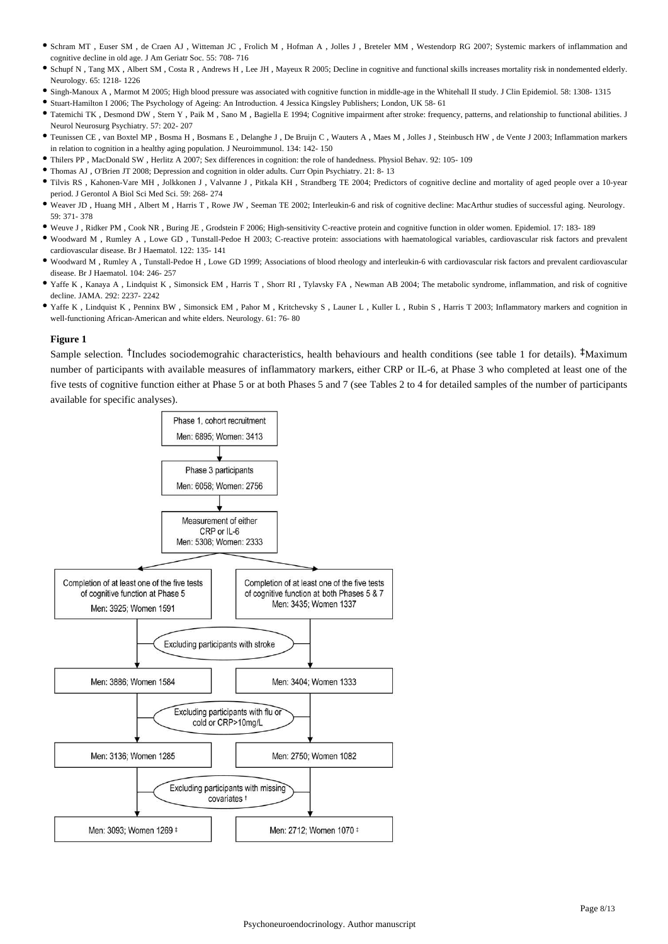- Schram MT , Euser SM , de Craen AJ , Witteman JC , Frolich M , Hofman A , Jolles J , Breteler MM , Westendorp RG 2007; Systemic markers of inflammation and cognitive decline in old age. J Am Geriatr Soc. 55: 708- 716
- Schupf N , Tang MX , Albert SM , Costa R , Andrews H , Lee JH , Mayeux R 2005; Decline in cognitive and functional skills increases mortality risk in nondemented elderly. Neurology. 65: 1218- 1226
- Singh-Manoux A , Marmot M 2005; High blood pressure was associated with cognitive function in middle-age in the Whitehall II study. J Clin Epidemiol. 58: 1308- 1315
- Stuart-Hamilton I 2006; The Psychology of Ageing: An Introduction. 4 Jessica Kingsley Publishers; London, UK 58- 61
- Tatemichi TK , Desmond DW , Stern Y , Paik M , Sano M , Bagiella E 1994; Cognitive impairment after stroke: frequency, patterns, and relationship to functional abilities. J Neurol Neurosurg Psychiatry. 57: 202- 207
- Teunissen CE , van Boxtel MP , Bosma H , Bosmans E , Delanghe J , De Bruijn C , Wauters A , Maes M , Jolles J , Steinbusch HW , de Vente J 2003; Inflammation markers in relation to cognition in a healthy aging population. J Neuroimmunol. 134: 142- 150
- Thilers PP , MacDonald SW , Herlitz A 2007; Sex differences in cognition: the role of handedness. Physiol Behav. 92: 105- 109
- $\bullet$  Thomas AJ, O'Brien JT 2008; Depression and cognition in older adults. Curr Opin Psychiatry. 21: 8-13
- Tilvis RS , Kahonen-Vare MH , Jolkkonen J , Valvanne J , Pitkala KH , Strandberg TE 2004; Predictors of cognitive decline and mortality of aged people over a 10-year period. J Gerontol A Biol Sci Med Sci. 59: 268- 274
- Weaver JD , Huang MH , Albert M , Harris T , Rowe JW , Seeman TE 2002; Interleukin-6 and risk of cognitive decline: MacArthur studies of successful aging. Neurology. 59: 371- 378
- Weuve J , Ridker PM , Cook NR , Buring JE , Grodstein F 2006; High-sensitivity C-reactive protein and cognitive function in older women. Epidemiol. 17: 183- 189
- Woodward M , Rumley A , Lowe GD , Tunstall-Pedoe H 2003; C-reactive protein: associations with haematological variables, cardiovascular risk factors and prevalent cardiovascular disease. Br J Haematol. 122: 135- 141
- Woodward M , Rumley A , Tunstall-Pedoe H , Lowe GD 1999; Associations of blood rheology and interleukin-6 with cardiovascular risk factors and prevalent cardiovascular disease. Br J Haematol. 104: 246- 257
- Yaffe K , Kanaya A , Lindquist K , Simonsick EM , Harris T , Shorr RI , Tylavsky FA , Newman AB 2004; The metabolic syndrome, inflammation, and risk of cognitive decline. JAMA. 292: 2237- 2242
- Yaffe K , Lindquist K , Penninx BW , Simonsick EM , Pahor M , Kritchevsky S , Launer L , Kuller L , Rubin S , Harris T 2003; Inflammatory markers and cognition in well-functioning African-American and white elders. Neurology. 61: 76- 80

#### **Figure 1**

Sample selection.  $\dagger$ Includes sociodemograhic characteristics, health behaviours and health conditions (see table 1 for details).  $\dagger$ Maximum number of participants with available measures of inflammatory markers, either CRP or IL-6, at Phase 3 who completed at least one of the five tests of cognitive function either at Phase 5 or at both Phases 5 and 7 (see Tables 2 to 4 for detailed samples of the number of participants available for specific analyses).

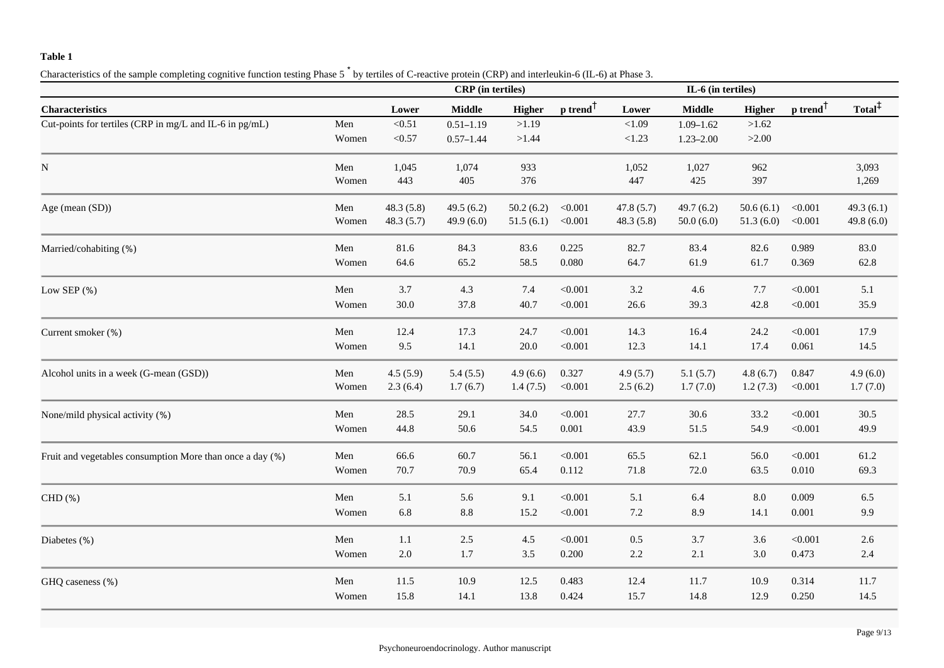# **Table 1**

Characteristics of the sample completing cognitive function testing Phase  $5^*$  by tertiles of C-reactive protein (CRP) and interleukin-6 (IL-6) at Phase 3.

|                                                           |       | CRP (in tertiles) |                 |           |                        | IL-6 (in tertiles) |               |               |                        |                    |
|-----------------------------------------------------------|-------|-------------------|-----------------|-----------|------------------------|--------------------|---------------|---------------|------------------------|--------------------|
| <b>Characteristics</b>                                    |       | Lower             | <b>Middle</b>   | Higher    | $p$ trend <sup>†</sup> | Lower              | <b>Middle</b> | <b>Higher</b> | $p$ trend <sup>†</sup> | Total <sup>‡</sup> |
| Cut-points for tertiles (CRP in mg/L and IL-6 in pg/mL)   | Men   | < 0.51            | $0.51 - 1.19$   | >1.19     |                        | ${<}1.09$          | $1.09 - 1.62$ | >1.62         |                        |                    |
|                                                           | Women | $<\!\!0.57$       | $0.57 - 1.44$   | >1.44     |                        | < 1.23             | $1.23 - 2.00$ | >2.00         |                        |                    |
| N                                                         | Men   | 1,045             | 1,074           | 933       |                        | 1,052              | 1,027         | 962           |                        | 3,093              |
|                                                           | Women | 443               | 405             | 376       |                        | 447                | 425           | 397           |                        | 1,269              |
| Age (mean (SD))                                           | Men   | 48.3(5.8)         | 49.5 $(6.2)$    | 50.2(6.2) | < 0.001                | 47.8(5.7)          | 49.7(6.2)     | 50.6(6.1)     | < 0.001                | 49.3(6.1)          |
|                                                           | Women | 48.3(5.7)         | 49.9(6.0)       | 51.5(6.1) | < 0.001                | 48.3(5.8)          | 50.0(6.0)     | 51.3(6.0)     | < 0.001                | 49.8(6.0)          |
| Married/cohabiting (%)                                    | Men   | 81.6              | 84.3            | 83.6      | 0.225                  | 82.7               | 83.4          | 82.6          | 0.989                  | 83.0               |
|                                                           | Women | 64.6              | 65.2            | 58.5      | 0.080                  | 64.7               | 61.9          | 61.7          | 0.369                  | 62.8               |
| Low SEP $(\% )$                                           | Men   | 3.7               | 4.3             | 7.4       | < 0.001                | 3.2                | 4.6           | 7.7           | < 0.001                | 5.1                |
|                                                           | Women | $30.0\,$          | 37.8            | 40.7      | < 0.001                | 26.6               | 39.3          | 42.8          | < 0.001                | 35.9               |
| Current smoker (%)                                        | Men   | 12.4              | 17.3            | 24.7      | < 0.001                | 14.3               | 16.4          | 24.2          | < 0.001                | 17.9               |
|                                                           | Women | 9.5               | 14.1            | 20.0      | < 0.001                | 12.3               | 14.1          | 17.4          | 0.061                  | 14.5               |
| Alcohol units in a week (G-mean (GSD))                    | Men   | 4.5(5.9)          | 5.4(5.5)        | 4.9(6.6)  | 0.327                  | 4.9(5.7)           | 5.1(5.7)      | 4.8(6.7)      | 0.847                  | 4.9(6.0)           |
|                                                           | Women | 2.3(6.4)          | 1.7(6.7)        | 1.4(7.5)  | < 0.001                | 2.5(6.2)           | 1.7(7.0)      | 1.2(7.3)      | < 0.001                | 1.7(7.0)           |
| None/mild physical activity (%)                           | Men   | 28.5              | 29.1            | 34.0      | < 0.001                | 27.7               | 30.6          | 33.2          | < 0.001                | 30.5               |
|                                                           | Women | 44.8              | 50.6            | 54.5      | 0.001                  | 43.9               | 51.5          | 54.9          | < 0.001                | 49.9               |
| Fruit and vegetables consumption More than once a day (%) | Men   | 66.6              | 60.7            | 56.1      | < 0.001                | 65.5               | 62.1          | 56.0          | < 0.001                | 61.2               |
|                                                           | Women | 70.7              | 70.9            | 65.4      | 0.112                  | 71.8               | 72.0          | 63.5          | 0.010                  | 69.3               |
| CHD <sub>(</sub> )                                        | Men   | 5.1               | 5.6             | 9.1       | < 0.001                | 5.1                | 6.4           | $\ \ 8.0$     | 0.009                  | 6.5                |
|                                                           | Women | 6.8               | $\!\!\!\!\!8.8$ | 15.2      | < 0.001                | 7.2                | 8.9           | 14.1          | 0.001                  | 9.9                |
| Diabetes (%)                                              | Men   | 1.1               | $2.5\,$         | 4.5       | < 0.001                | 0.5                | 3.7           | 3.6           | < 0.001                | 2.6                |
|                                                           | Women | 2.0               | 1.7             | $3.5$     | 0.200                  | $2.2\,$            | $2.1\,$       | $3.0\,$       | 0.473                  | 2.4                |
| GHQ caseness (%)                                          | Men   | 11.5              | 10.9            | 12.5      | 0.483                  | 12.4               | 11.7          | 10.9          | 0.314                  | 11.7               |
|                                                           | Women | 15.8              | 14.1            | 13.8      | 0.424                  | 15.7               | 14.8          | 12.9          | 0.250                  | 14.5               |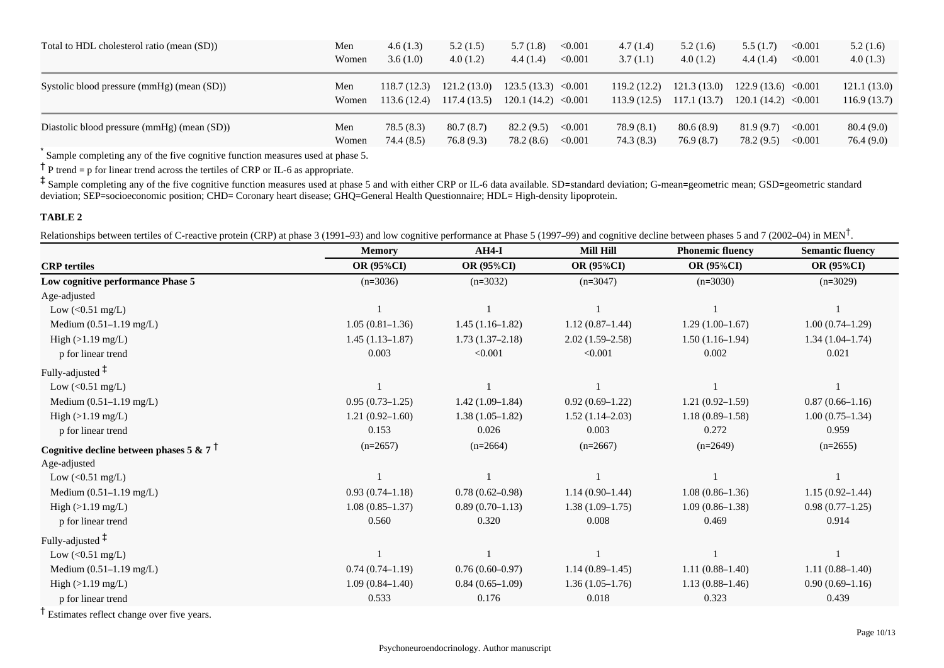| Total to HDL cholesterol ratio (mean (SD))  | Men          | 4.6(1.3)                   | 5.2(1.5)                   | 5.7(1.8)                                   | < 0.001    | 4.7(1.4)                   | 5.2(1.6)                   | 5.5(1.7)                                   | < 0.001 | 5.2(1.6)                   |
|---------------------------------------------|--------------|----------------------------|----------------------------|--------------------------------------------|------------|----------------------------|----------------------------|--------------------------------------------|---------|----------------------------|
|                                             | Women        | 3.6(1.0)                   | 4.0(1.2)                   | 4.4(1.4)                                   | < 0.001    | 3.7(1.1)                   | 4.0(1.2)                   | 4.4(1.4)                                   | < 0.001 | 4.0(1.3)                   |
| Systolic blood pressure (mmHg) (mean (SD))  | Men<br>Women | 118.7(12.3)<br>113.6(12.4) | 121.2(13.0)<br>117.4(13.5) | 123.5(13.3) < 0.001<br>120.1(14.2) < 0.001 |            | 119.2(12.2)<br>113.9(12.5) | 121.3(13.0)<br>117.1(13.7) | 122.9(13.6) < 0.001<br>120.1(14.2) < 0.001 |         | 121.1(13.0)<br>116.9(13.7) |
| Diastolic blood pressure (mmHg) (mean (SD)) | Men          | 78.5(8.3)                  | 80.7(8.7)                  | 82.2 (9.5)                                 | ${<}0.001$ | 78.9(8.1)                  | 80.6(8.9)                  | 81.9 (9.7)                                 | < 0.001 | 80.4(9.0)                  |
|                                             | Women        | 74.4 (8.5)                 | 76.8(9.3)                  | 78.2 (8.6)                                 | ${<}0.001$ | 74.3(8.3)                  | 76.9(8.7)                  | 78.2 (9.5)                                 | < 0.001 | 76.4(9.0)                  |

\* Sample completing any of the five cognitive function measures used at phase 5.

 $\dagger$  P trend = p for linear trend across the tertiles of CRP or IL-6 as appropriate.

‡ Sample completing any of the five cognitive function measures used at phase 5 and with either CRP or IL-6 data available. SD=standard deviation; G-mean=geometric mean; GSD=geometric standard deviation; SEP=socioeconomic position; CHD= Coronary heart disease; GHQ=General Health Questionnaire; HDL= High-density lipoprotein.

### **TABLE 2**

Relationships between tertiles of C-reactive protein (CRP) at phase 3 (1991–93) and low cognitive performance at Phase 5 (1997–99) and cognitive decline between phases 5 and 7 (2002–04) in MEN<sup>†</sup>.

| <b>Memory</b>       | $AH4-I$             | <b>Mill Hill</b>    | <b>Phonemic fluency</b> | <b>Semantic fluency</b> |
|---------------------|---------------------|---------------------|-------------------------|-------------------------|
| <b>OR (95%CI)</b>   | <b>OR (95%CI)</b>   | <b>OR (95%CI)</b>   | <b>OR (95%CI)</b>       | <b>OR (95%CI)</b>       |
| $(n=3036)$          | $(n=3032)$          | $(n=3047)$          | $(n=3030)$              | $(n=3029)$              |
|                     |                     |                     |                         |                         |
|                     |                     |                     |                         |                         |
| $1.05(0.81-1.36)$   | $1.45(1.16-1.82)$   | $1.12(0.87-1.44)$   | $1.29(1.00-1.67)$       | $1.00(0.74 - 1.29)$     |
| $1.45(1.13 - 1.87)$ | $1.73(1.37-2.18)$   | $2.02(1.59-2.58)$   | $1.50(1.16-1.94)$       | $1.34(1.04 - 1.74)$     |
| 0.003               | < 0.001             | < 0.001             | 0.002                   | 0.021                   |
|                     |                     |                     |                         |                         |
|                     |                     |                     |                         |                         |
| $0.95(0.73-1.25)$   | $1.42(1.09-1.84)$   | $0.92(0.69 - 1.22)$ | $1.21(0.92 - 1.59)$     | $0.87(0.66 - 1.16)$     |
| $1.21(0.92 - 1.60)$ | $1.38(1.05 - 1.82)$ | $1.52(1.14-2.03)$   | $1.18(0.89 - 1.58)$     | $1.00(0.75 - 1.34)$     |
| 0.153               | 0.026               | 0.003               | 0.272                   | 0.959                   |
| $(n=2657)$          | $(n=2664)$          | $(n=2667)$          | $(n=2649)$              | $(n=2655)$              |
|                     |                     |                     |                         |                         |
|                     |                     |                     |                         |                         |
| $0.93(0.74 - 1.18)$ | $0.78(0.62 - 0.98)$ | $1.14(0.90-1.44)$   | $1.08(0.86 - 1.36)$     | $1.15(0.92 - 1.44)$     |
| $1.08(0.85-1.37)$   | $0.89(0.70-1.13)$   | $1.38(1.09 - 1.75)$ | $1.09(0.86 - 1.38)$     | $0.98(0.77-1.25)$       |
| 0.560               | 0.320               | 0.008               | 0.469                   | 0.914                   |
|                     |                     |                     |                         |                         |
|                     |                     |                     |                         |                         |
| $0.74(0.74 - 1.19)$ | $0.76(0.60 - 0.97)$ | $1.14(0.89 - 1.45)$ | $1.11(0.88 - 1.40)$     | $1.11(0.88 - 1.40)$     |
| $1.09(0.84 - 1.40)$ | $0.84(0.65-1.09)$   | $1.36(1.05-1.76)$   | $1.13(0.88 - 1.46)$     | $0.90(0.69 - 1.16)$     |
| 0.533               | 0.176               | 0.018               | 0.323                   | 0.439                   |
|                     |                     |                     |                         |                         |

† Estimates reflect change over five years.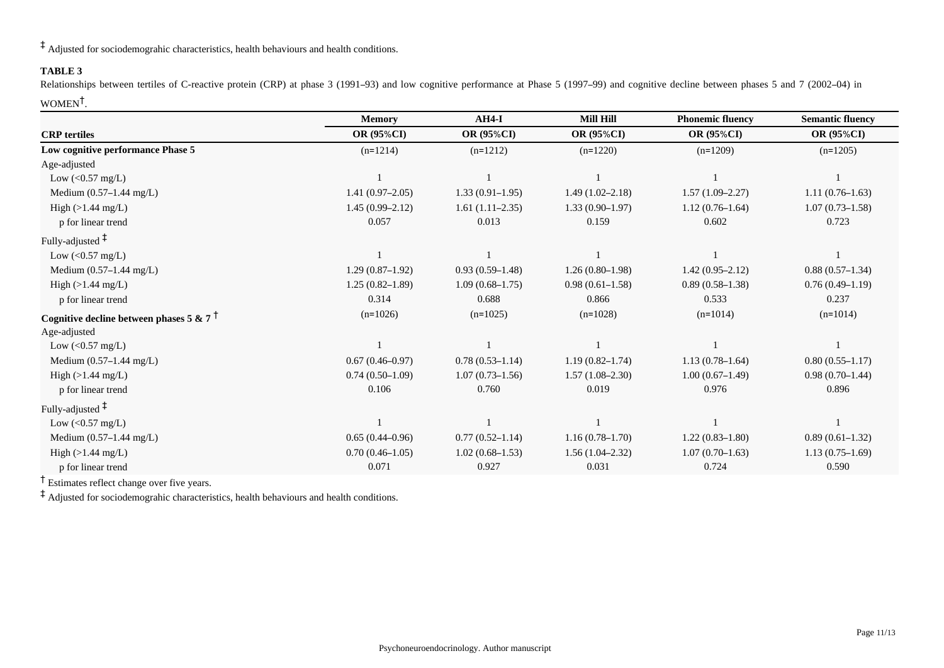‡ Adjusted for sociodemograhic characteristics, health behaviours and health conditions.

# **TABLE 3**

Relationships between tertiles of C-reactive protein (CRP) at phase 3 (1991–93) and low cognitive performance at Phase 5 (1997–99) and cognitive decline between phases 5 and 7 (2002–04) in WOMEN<sup>†</sup>.

|                                                        | <b>Memory</b>       | $AH4-I$             | <b>Mill Hill</b>    | <b>Phonemic fluency</b> | <b>Semantic fluency</b> |
|--------------------------------------------------------|---------------------|---------------------|---------------------|-------------------------|-------------------------|
| <b>CRP</b> tertiles                                    | <b>OR (95%CI)</b>   | <b>OR (95%CI)</b>   | <b>OR (95%CI)</b>   | <b>OR (95%CI)</b>       | <b>OR (95%CI)</b>       |
| Low cognitive performance Phase 5                      | $(n=1214)$          | $(n=1212)$          | $(n=1220)$          | $(n=1209)$              | $(n=1205)$              |
| Age-adjusted                                           |                     |                     |                     |                         |                         |
| Low $(<0.57$ mg/L)                                     |                     |                     |                     |                         |                         |
| Medium (0.57-1.44 mg/L)                                | $1.41(0.97-2.05)$   | $1.33(0.91 - 1.95)$ | $1.49(1.02 - 2.18)$ | $1.57(1.09 - 2.27)$     | $1.11(0.76 - 1.63)$     |
| High $(>1.44$ mg/L)                                    | $1.45(0.99 - 2.12)$ | $1.61(1.11-2.35)$   | $1.33(0.90 - 1.97)$ | $1.12(0.76 - 1.64)$     | $1.07(0.73 - 1.58)$     |
| p for linear trend                                     | 0.057               | 0.013               | 0.159               | 0.602                   | 0.723                   |
| Fully-adjusted <sup>‡</sup>                            |                     |                     |                     |                         |                         |
| Low $(0.57 \text{ mg/L})$                              |                     |                     |                     |                         |                         |
| Medium $(0.57 - 1.44 \text{ mg/L})$                    | $1.29(0.87-1.92)$   | $0.93(0.59 - 1.48)$ | $1.26(0.80-1.98)$   | $1.42(0.95 - 2.12)$     | $0.88(0.57-1.34)$       |
| High $(>1.44$ mg/L)                                    | $1.25(0.82 - 1.89)$ | $1.09(0.68 - 1.75)$ | $0.98(0.61 - 1.58)$ | $0.89(0.58 - 1.38)$     | $0.76(0.49-1.19)$       |
| p for linear trend                                     | 0.314               | 0.688               | 0.866               | 0.533                   | 0.237                   |
| Cognitive decline between phases 5 & 7 $^{\mathsf{T}}$ | $(n=1026)$          | $(n=1025)$          | $(n=1028)$          | $(n=1014)$              | $(n=1014)$              |
| Age-adjusted                                           |                     |                     |                     |                         |                         |
| Low $(<0.57$ mg/L)                                     |                     |                     |                     |                         |                         |
| Medium (0.57-1.44 mg/L)                                | $0.67(0.46 - 0.97)$ | $0.78(0.53 - 1.14)$ | $1.19(0.82 - 1.74)$ | $1.13(0.78-1.64)$       | $0.80(0.55-1.17)$       |
| High $(>1.44$ mg/L)                                    | $0.74(0.50-1.09)$   | $1.07(0.73 - 1.56)$ | $1.57(1.08 - 2.30)$ | $1.00(0.67-1.49)$       | $0.98(0.70-1.44)$       |
| p for linear trend                                     | 0.106               | 0.760               | 0.019               | 0.976                   | 0.896                   |
| Fully-adjusted <sup>‡</sup>                            |                     |                     |                     |                         |                         |
| Low $(<0.57$ mg/L)                                     |                     |                     |                     |                         |                         |
| Medium $(0.57 - 1.44 \text{ mg/L})$                    | $0.65(0.44-0.96)$   | $0.77(0.52 - 1.14)$ | $1.16(0.78-1.70)$   | $1.22(0.83 - 1.80)$     | $0.89(0.61 - 1.32)$     |
| High $(>1.44 \text{ mg/L})$                            | $0.70(0.46 - 1.05)$ | $1.02(0.68 - 1.53)$ | $1.56(1.04-2.32)$   | $1.07(0.70 - 1.63)$     | $1.13(0.75 - 1.69)$     |
| p for linear trend                                     | 0.071               | 0.927               | 0.031               | 0.724                   | 0.590                   |

† Estimates reflect change over five years.

<sup>‡</sup> Adjusted for sociodemograhic characteristics, health behaviours and health conditions.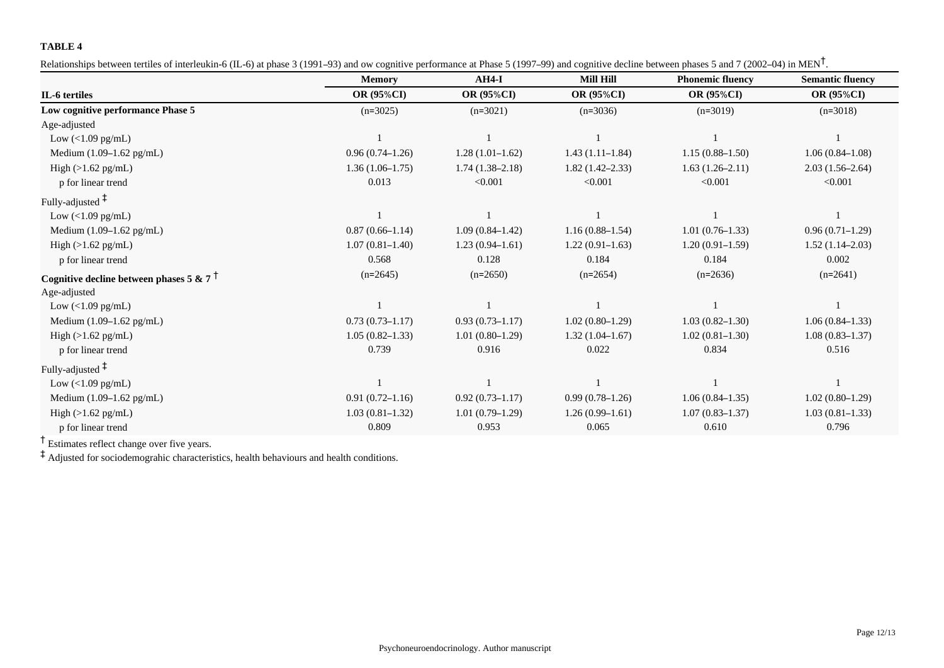# **TABLE 4**

Relationships between tertiles of interleukin-6 (IL-6) at phase 3 (1991–93) and ow cognitive performance at Phase 5 (1997–99) and cognitive decline between phases 5 and 7 (2002–04) in MEN<sup>†</sup>.

|                                                      | <b>Memory</b>       | $AH4-I$             | <b>Mill Hill</b>    | <b>Phonemic fluency</b> | <b>Semantic fluency</b> |
|------------------------------------------------------|---------------------|---------------------|---------------------|-------------------------|-------------------------|
| IL-6 tertiles                                        | <b>OR (95%CI)</b>   | <b>OR (95%CI)</b>   | <b>OR (95%CI)</b>   | <b>OR (95%CI)</b>       | <b>OR (95%CI)</b>       |
| Low cognitive performance Phase 5                    | $(n=3025)$          | $(n=3021)$          | $(n=3036)$          | $(n=3019)$              | $(n=3018)$              |
| Age-adjusted                                         |                     |                     |                     |                         |                         |
| Low $\left(\langle 1.09 \text{ pg/mL}\right)$        |                     |                     |                     |                         |                         |
| Medium $(1.09-1.62 \text{ pg/mL})$                   | $0.96(0.74 - 1.26)$ | $1.28(1.01-1.62)$   | $1.43(1.11-1.84)$   | $1.15(0.88 - 1.50)$     | $1.06(0.84 - 1.08)$     |
| High $(>1.62$ pg/mL)                                 | $1.36(1.06 - 1.75)$ | $1.74(1.38 - 2.18)$ | $1.82(1.42 - 2.33)$ | $1.63(1.26-2.11)$       | $2.03(1.56-2.64)$       |
| p for linear trend                                   | 0.013               | < 0.001             | < 0.001             | < 0.001                 | < 0.001                 |
| Fully-adjusted <sup>‡</sup>                          |                     |                     |                     |                         |                         |
| Low $(<1.09$ pg/mL)                                  |                     |                     |                     |                         |                         |
| Medium $(1.09-1.62 \text{ pg/mL})$                   | $0.87(0.66 - 1.14)$ | $1.09(0.84 - 1.42)$ | $1.16(0.88 - 1.54)$ | $1.01(0.76-1.33)$       | $0.96(0.71-1.29)$       |
| High $(>1.62$ pg/mL)                                 | $1.07(0.81 - 1.40)$ | $1.23(0.94 - 1.61)$ | $1.22(0.91-1.63)$   | $1.20(0.91-1.59)$       | $1.52(1.14 - 2.03)$     |
| p for linear trend                                   | 0.568               | 0.128               | 0.184               | 0.184                   | 0.002                   |
| Cognitive decline between phases 5 & 7 $^{\text{T}}$ | $(n=2645)$          | $(n=2650)$          | $(n=2654)$          | $(n=2636)$              | $(n=2641)$              |
| Age-adjusted                                         |                     |                     |                     |                         |                         |
| Low $(<1.09$ pg/mL)                                  |                     |                     |                     |                         |                         |
| Medium (1.09-1.62 pg/mL)                             | $0.73(0.73 - 1.17)$ | $0.93(0.73 - 1.17)$ | $1.02(0.80-1.29)$   | $1.03(0.82 - 1.30)$     | $1.06(0.84 - 1.33)$     |
| High $(>1.62 \text{ pg/mL})$                         | $1.05(0.82 - 1.33)$ | $1.01(0.80-1.29)$   | $1.32(1.04 - 1.67)$ | $1.02(0.81 - 1.30)$     | $1.08(0.83 - 1.37)$     |
| p for linear trend                                   | 0.739               | 0.916               | 0.022               | 0.834                   | 0.516                   |
| Fully-adjusted <sup>‡</sup>                          |                     |                     |                     |                         |                         |
| Low $(<1.09$ pg/mL)                                  |                     |                     |                     |                         |                         |
| Medium (1.09-1.62 pg/mL)                             | $0.91(0.72 - 1.16)$ | $0.92(0.73 - 1.17)$ | $0.99(0.78-1.26)$   | $1.06(0.84 - 1.35)$     | $1.02(0.80-1.29)$       |
| High $(>1.62 \text{ pg/mL})$                         | $1.03(0.81 - 1.32)$ | $1.01(0.79-1.29)$   | $1.26(0.99 - 1.61)$ | $1.07(0.83 - 1.37)$     | $1.03(0.81 - 1.33)$     |
| p for linear trend                                   | 0.809               | 0.953               | 0.065               | 0.610                   | 0.796                   |

† Estimates reflect change over five years.

‡ Adjusted for sociodemograhic characteristics, health behaviours and health conditions.